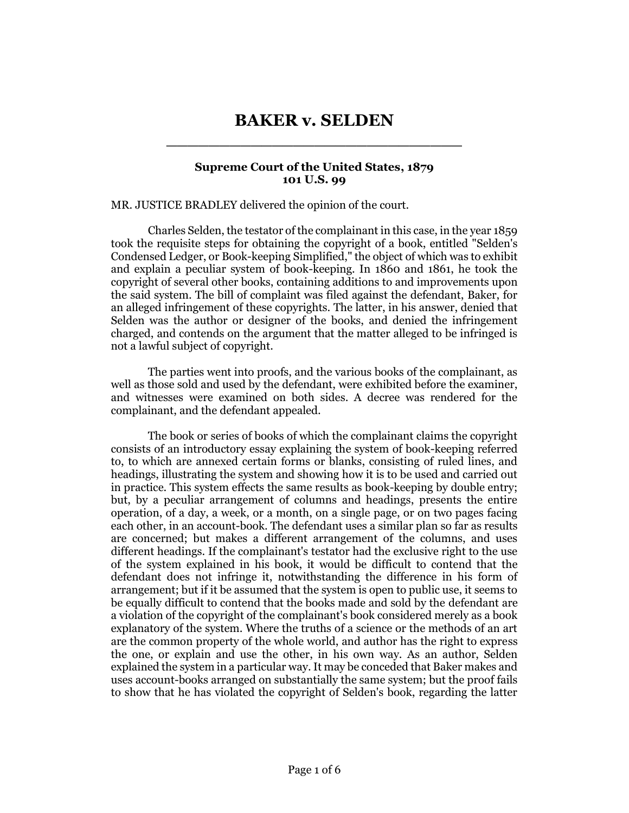## **BAKER v. SELDEN** \_\_\_\_\_\_\_\_\_\_\_\_\_\_\_\_\_\_\_\_\_\_\_\_\_\_\_\_

## **Supreme Court of the United States, 1879 101 U.S. 99**

## MR. JUSTICE BRADLEY delivered the opinion of the court.

Charles Selden, the testator of the complainant in this case, in the year 1859 took the requisite steps for obtaining the copyright of a book, entitled "Selden's Condensed Ledger, or Book-keeping Simplified," the object of which was to exhibit and explain a peculiar system of book-keeping. In 1860 and 1861, he took the copyright of several other books, containing additions to and improvements upon the said system. The bill of complaint was filed against the defendant, Baker, for an alleged infringement of these copyrights. The latter, in his answer, denied that Selden was the author or designer of the books, and denied the infringement charged, and contends on the argument that the matter alleged to be infringed is not a lawful subject of copyright.

The parties went into proofs, and the various books of the complainant, as well as those sold and used by the defendant, were exhibited before the examiner, and witnesses were examined on both sides. A decree was rendered for the complainant, and the defendant appealed.

The book or series of books of which the complainant claims the copyright consists of an introductory essay explaining the system of book-keeping referred to, to which are annexed certain forms or blanks, consisting of ruled lines, and headings, illustrating the system and showing how it is to be used and carried out in practice. This system effects the same results as book-keeping by double entry; but, by a peculiar arrangement of columns and headings, presents the entire operation, of a day, a week, or a month, on a single page, or on two pages facing each other, in an account-book. The defendant uses a similar plan so far as results are concerned; but makes a different arrangement of the columns, and uses different headings. If the complainant's testator had the exclusive right to the use of the system explained in his book, it would be difficult to contend that the defendant does not infringe it, notwithstanding the difference in his form of arrangement; but if it be assumed that the system is open to public use, it seems to be equally difficult to contend that the books made and sold by the defendant are a violation of the copyright of the complainant's book considered merely as a book explanatory of the system. Where the truths of a science or the methods of an art are the common property of the whole world, and author has the right to express the one, or explain and use the other, in his own way. As an author, Selden explained the system in a particular way. It may be conceded that Baker makes and uses account-books arranged on substantially the same system; but the proof fails to show that he has violated the copyright of Selden's book, regarding the latter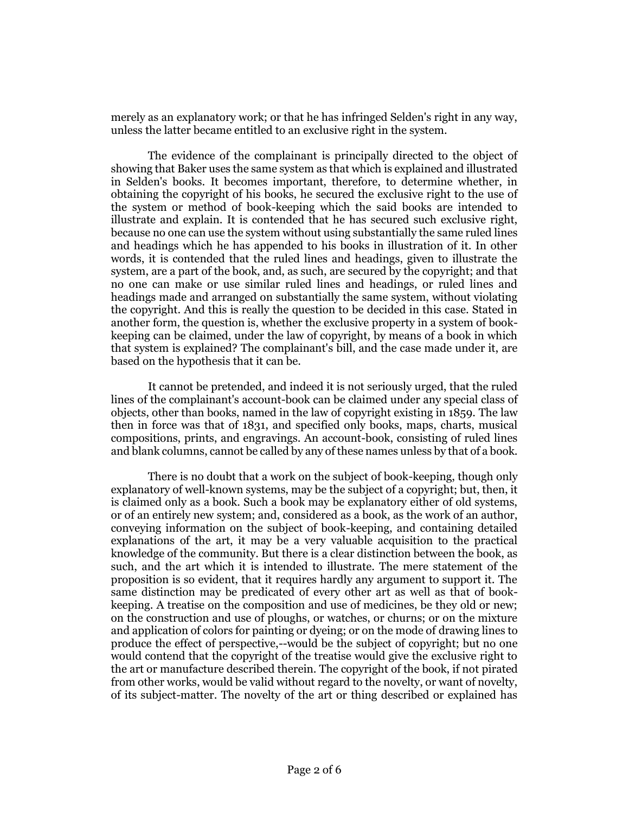merely as an explanatory work; or that he has infringed Selden's right in any way, unless the latter became entitled to an exclusive right in the system.

The evidence of the complainant is principally directed to the object of showing that Baker uses the same system as that which is explained and illustrated in Selden's books. It becomes important, therefore, to determine whether, in obtaining the copyright of his books, he secured the exclusive right to the use of the system or method of book-keeping which the said books are intended to illustrate and explain. It is contended that he has secured such exclusive right, because no one can use the system without using substantially the same ruled lines and headings which he has appended to his books in illustration of it. In other words, it is contended that the ruled lines and headings, given to illustrate the system, are a part of the book, and, as such, are secured by the copyright; and that no one can make or use similar ruled lines and headings, or ruled lines and headings made and arranged on substantially the same system, without violating the copyright. And this is really the question to be decided in this case. Stated in another form, the question is, whether the exclusive property in a system of bookkeeping can be claimed, under the law of copyright, by means of a book in which that system is explained? The complainant's bill, and the case made under it, are based on the hypothesis that it can be.

It cannot be pretended, and indeed it is not seriously urged, that the ruled lines of the complainant's account-book can be claimed under any special class of objects, other than books, named in the law of copyright existing in 1859. The law then in force was that of 1831, and specified only books, maps, charts, musical compositions, prints, and engravings. An account-book, consisting of ruled lines and blank columns, cannot be called by any of these names unless by that of a book.

There is no doubt that a work on the subject of book-keeping, though only explanatory of well-known systems, may be the subject of a copyright; but, then, it is claimed only as a book. Such a book may be explanatory either of old systems, or of an entirely new system; and, considered as a book, as the work of an author, conveying information on the subject of book-keeping, and containing detailed explanations of the art, it may be a very valuable acquisition to the practical knowledge of the community. But there is a clear distinction between the book, as such, and the art which it is intended to illustrate. The mere statement of the proposition is so evident, that it requires hardly any argument to support it. The same distinction may be predicated of every other art as well as that of bookkeeping. A treatise on the composition and use of medicines, be they old or new; on the construction and use of ploughs, or watches, or churns; or on the mixture and application of colors for painting or dyeing; or on the mode of drawing lines to produce the effect of perspective,--would be the subject of copyright; but no one would contend that the copyright of the treatise would give the exclusive right to the art or manufacture described therein. The copyright of the book, if not pirated from other works, would be valid without regard to the novelty, or want of novelty, of its subject-matter. The novelty of the art or thing described or explained has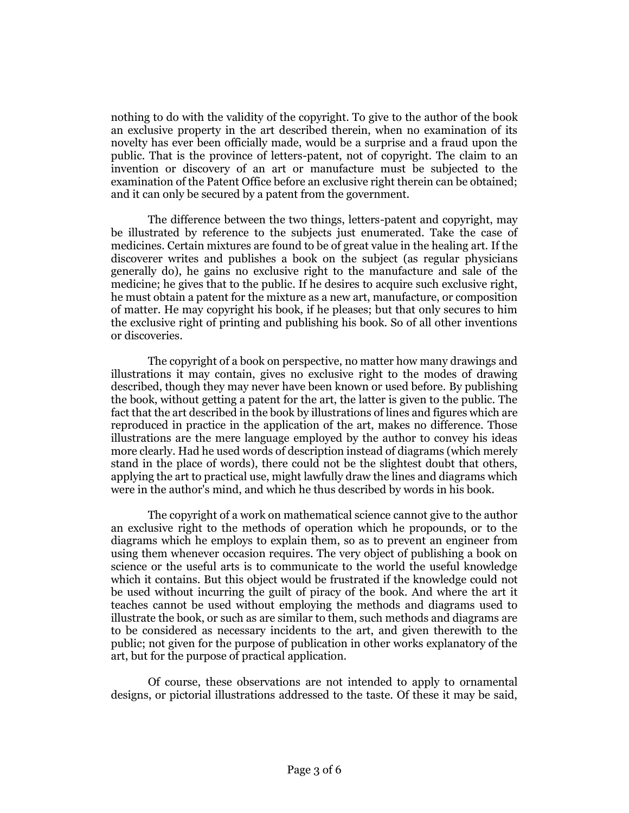nothing to do with the validity of the copyright. To give to the author of the book an exclusive property in the art described therein, when no examination of its novelty has ever been officially made, would be a surprise and a fraud upon the public. That is the province of letters-patent, not of copyright. The claim to an invention or discovery of an art or manufacture must be subjected to the examination of the Patent Office before an exclusive right therein can be obtained; and it can only be secured by a patent from the government.

The difference between the two things, letters-patent and copyright, may be illustrated by reference to the subjects just enumerated. Take the case of medicines. Certain mixtures are found to be of great value in the healing art. If the discoverer writes and publishes a book on the subject (as regular physicians generally do), he gains no exclusive right to the manufacture and sale of the medicine; he gives that to the public. If he desires to acquire such exclusive right, he must obtain a patent for the mixture as a new art, manufacture, or composition of matter. He may copyright his book, if he pleases; but that only secures to him the exclusive right of printing and publishing his book. So of all other inventions or discoveries.

The copyright of a book on perspective, no matter how many drawings and illustrations it may contain, gives no exclusive right to the modes of drawing described, though they may never have been known or used before. By publishing the book, without getting a patent for the art, the latter is given to the public. The fact that the art described in the book by illustrations of lines and figures which are reproduced in practice in the application of the art, makes no difference. Those illustrations are the mere language employed by the author to convey his ideas more clearly. Had he used words of description instead of diagrams (which merely stand in the place of words), there could not be the slightest doubt that others, applying the art to practical use, might lawfully draw the lines and diagrams which were in the author's mind, and which he thus described by words in his book.

The copyright of a work on mathematical science cannot give to the author an exclusive right to the methods of operation which he propounds, or to the diagrams which he employs to explain them, so as to prevent an engineer from using them whenever occasion requires. The very object of publishing a book on science or the useful arts is to communicate to the world the useful knowledge which it contains. But this object would be frustrated if the knowledge could not be used without incurring the guilt of piracy of the book. And where the art it teaches cannot be used without employing the methods and diagrams used to illustrate the book, or such as are similar to them, such methods and diagrams are to be considered as necessary incidents to the art, and given therewith to the public; not given for the purpose of publication in other works explanatory of the art, but for the purpose of practical application.

Of course, these observations are not intended to apply to ornamental designs, or pictorial illustrations addressed to the taste. Of these it may be said,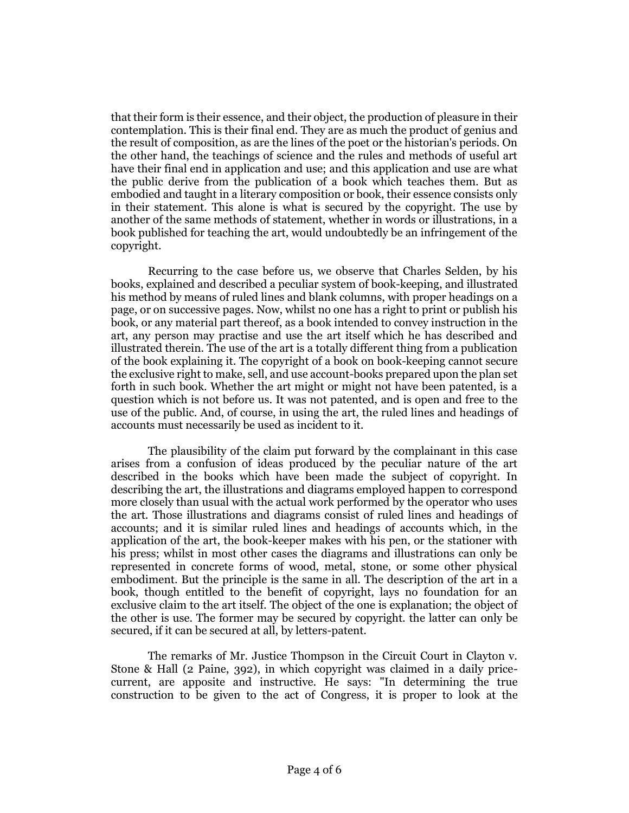that their form is their essence, and their object, the production of pleasure in their contemplation. This is their final end. They are as much the product of genius and the result of composition, as are the lines of the poet or the historian's periods. On the other hand, the teachings of science and the rules and methods of useful art have their final end in application and use; and this application and use are what the public derive from the publication of a book which teaches them. But as embodied and taught in a literary composition or book, their essence consists only in their statement. This alone is what is secured by the copyright. The use by another of the same methods of statement, whether in words or illustrations, in a book published for teaching the art, would undoubtedly be an infringement of the copyright.

Recurring to the case before us, we observe that Charles Selden, by his books, explained and described a peculiar system of book-keeping, and illustrated his method by means of ruled lines and blank columns, with proper headings on a page, or on successive pages. Now, whilst no one has a right to print or publish his book, or any material part thereof, as a book intended to convey instruction in the art, any person may practise and use the art itself which he has described and illustrated therein. The use of the art is a totally different thing from a publication of the book explaining it. The copyright of a book on book-keeping cannot secure the exclusive right to make, sell, and use account-books prepared upon the plan set forth in such book. Whether the art might or might not have been patented, is a question which is not before us. It was not patented, and is open and free to the use of the public. And, of course, in using the art, the ruled lines and headings of accounts must necessarily be used as incident to it.

The plausibility of the claim put forward by the complainant in this case arises from a confusion of ideas produced by the peculiar nature of the art described in the books which have been made the subject of copyright. In describing the art, the illustrations and diagrams employed happen to correspond more closely than usual with the actual work performed by the operator who uses the art. Those illustrations and diagrams consist of ruled lines and headings of accounts; and it is similar ruled lines and headings of accounts which, in the application of the art, the book-keeper makes with his pen, or the stationer with his press; whilst in most other cases the diagrams and illustrations can only be represented in concrete forms of wood, metal, stone, or some other physical embodiment. But the principle is the same in all. The description of the art in a book, though entitled to the benefit of copyright, lays no foundation for an exclusive claim to the art itself. The object of the one is explanation; the object of the other is use. The former may be secured by copyright. the latter can only be secured, if it can be secured at all, by letters-patent.

The remarks of Mr. Justice Thompson in the Circuit Court in Clayton v. Stone & Hall (2 Paine, 392), in which copyright was claimed in a daily pricecurrent, are apposite and instructive. He says: "In determining the true construction to be given to the act of Congress, it is proper to look at the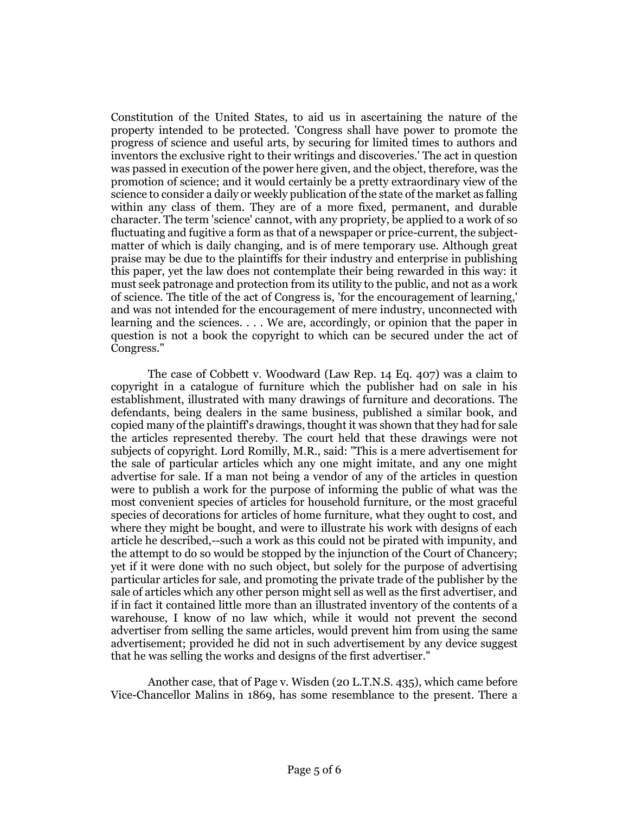Constitution of the United States, to aid us in ascertaining the nature of the property intended to be protected. 'Congress shall have power to promote the progress of science and useful arts, by securing for limited times to authors and inventors the exclusive right to their writings and discoveries.' The act in question was passed in execution of the power here given, and the object, therefore, was the promotion of science; and it would certainly be a pretty extraordinary view of the science to consider a daily or weekly publication of the state of the market as falling within any class of them. They are of a more fixed, permanent, and durable character. The term 'science' cannot, with any propriety, be applied to a work of so fluctuating and fugitive a form as that of a newspaper or price-current, the subjectmatter of which is daily changing, and is of mere temporary use. Although great praise may be due to the plaintiffs for their industry and enterprise in publishing this paper, yet the law does not contemplate their being rewarded in this way: it must seek patronage and protection from its utility to the public, and not as a work of science. The title of the act of Congress is, 'for the encouragement of learning,' and was not intended for the encouragement of mere industry, unconnected with learning and the sciences. . . . We are, accordingly, or opinion that the paper in question is not a book the copyright to which can be secured under the act of Congress."

The case of Cobbett v. Woodward (Law Rep. 14 Eq. 407) was a claim to copyright in a catalogue of furniture which the publisher had on sale in his establishment, illustrated with many drawings of furniture and decorations. The defendants, being dealers in the same business, published a similar book, and copied many of the plaintiff's drawings, thought it was shown that they had for sale the articles represented thereby. The court held that these drawings were not subjects of copyright. Lord Romilly, M.R., said: "This is a mere advertisement for the sale of particular articles which any one might imitate, and any one might advertise for sale. If a man not being a vendor of any of the articles in question were to publish a work for the purpose of informing the public of what was the most convenient species of articles for household furniture, or the most graceful species of decorations for articles of home furniture, what they ought to cost, and where they might be bought, and were to illustrate his work with designs of each article he described,--such a work as this could not be pirated with impunity, and the attempt to do so would be stopped by the injunction of the Court of Chancery; yet if it were done with no such object, but solely for the purpose of advertising particular articles for sale, and promoting the private trade of the publisher by the sale of articles which any other person might sell as well as the first advertiser, and if in fact it contained little more than an illustrated inventory of the contents of a warehouse, I know of no law which, while it would not prevent the second advertiser from selling the same articles, would prevent him from using the same advertisement; provided he did not in such advertisement by any device suggest that he was selling the works and designs of the first advertiser."

Another case, that of Page v. Wisden (20 L.T.N.S. 435), which came before Vice-Chancellor Malins in 1869, has some resemblance to the present. There a